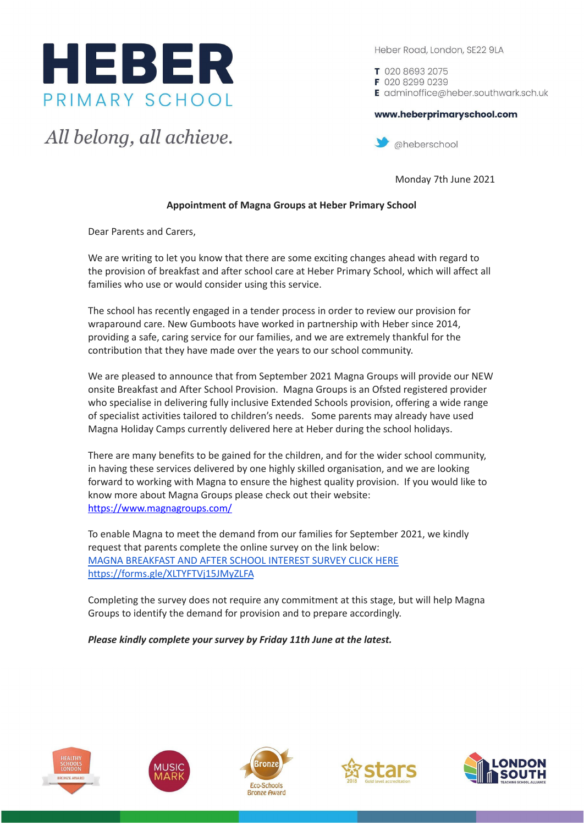

All belong, all achieve.

Heber Road, London, SE22 9LA

T 020 8693 2075 F 020 8299 0239 E adminoffice@heber.southwark.sch.uk

## www.heberprimaryschool.com



Monday 7th June 2021

## **Appointment of Magna Groups at Heber Primary School**

Dear Parents and Carers,

We are writing to let you know that there are some exciting changes ahead with regard to the provision of breakfast and after school care at Heber Primary School, which will affect all families who use or would consider using this service.

The school has recently engaged in a tender process in order to review our provision for wraparound care. New Gumboots have worked in partnership with Heber since 2014, providing a safe, caring service for our families, and we are extremely thankful for the contribution that they have made over the years to our school community.

We are pleased to announce that from September 2021 Magna Groups will provide our NEW onsite Breakfast and After School Provision. Magna Groups is an Ofsted registered provider who specialise in delivering fully inclusive Extended Schools provision, offering a wide range of specialist activities tailored to children's needs. Some parents may already have used Magna Holiday Camps currently delivered here at Heber during the school holidays.

There are many benefits to be gained for the children, and for the wider school community, in having these services delivered by one highly skilled organisation, and we are looking forward to working with Magna to ensure the highest quality provision. If you would like to know more about Magna Groups please check out their website: <https://www.magnagroups.com/>

To enable Magna to meet the demand from our families for September 2021, we kindly request that parents complete the online survey on the link below: MAGNA [BREAKFAST](https://forms.gle/XLTYFTVj15JMyZLFA) AND AFTER SCHOOL INTEREST SURVEY CLICK HERE <https://forms.gle/XLTYFTVj15JMyZLFA>

Completing the survey does not require any commitment at this stage, but will help Magna Groups to identify the demand for provision and to prepare accordingly.

*Please kindly complete your survey by Friday 11th June at the latest.*